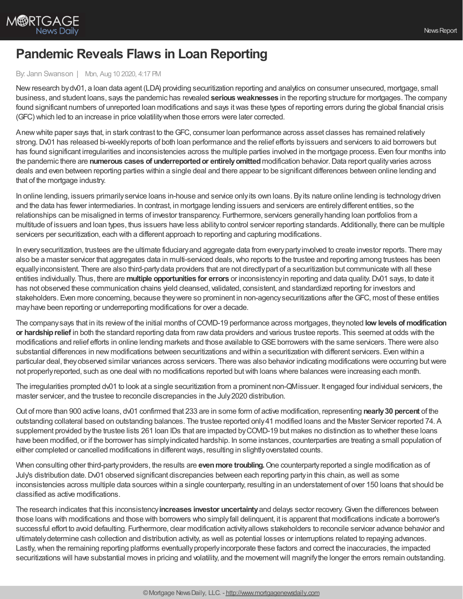

## **Pandemic Reveals Flaws in Loan Reporting**

## By: Jann Swanson | Mon, Aug 10 2020, 4:17 PM

Newresearch bydv01, a loan data agent (LDA) providing securitization reporting and analytics on consumer unsecured, mortgage, small business, and student loans, says the pandemic has revealed **seriousweaknesses** in the reporting structure for mortgages. The company found significant numbers of unreported loan modifications and says itwas these types of reporting errors during the global financial crisis (GFC) which led to an increase in price volatilitywhen those errors were later corrected.

Anewwhite paper says that, in stark contrast to theGFC, consumer loan performance across asset classes has remained relatively strong. Dv01 has released bi-weekly reports of both loan performance and the relief efforts by issuers and servicers to aid borrowers but has found significant irregularities and inconsistencies across the multiple parties involved in the mortgage process. Even four months into the pandemic there are **numerous cases of underreportedor entirelyomitted**modification behavior.Data report qualityvaries across deals and even between reporting parties within a single deal and there appear to be significant differences between online lending and that of the mortgage industry.

In online lending, issuers primarilyservice loans in-house and service onlyits own loans. Byits nature online lending is technologydriven and the data has fewer intermediaries. In contrast, in mortgage lending issuers and servicers are entirelydifferent entities, so the relationships can be misaligned in terms of investor transparency. Furthermore, servicers generallyhanding loan portfolios from a multitude of issuers and loan types, thus issuers have less abilityto control servicer reporting standards. Additionally, there can be multiple servicers per securitization, each with a different approach to reporting and capturing modifications.

In everysecuritization, trustees are the ultimate fiduciaryand aggregate data from everypartyinvolved to create investor reports. There may also be a master servicer that aggregates data in multi-serviced deals, who reports to the trustee and reporting among trustees has been equallyinconsistent. There are also third-partydata providers that are not directlypart of a securitization but communicate with all these entities individually. Thus, there are **multiple opportunities for errors** or inconsistencyin reporting and data quality.Dv01 says, to date it has not observed these communication chains yield cleansed, validated, consistent, and standardized reporting for investors and stakeholders. Even more concerning, because theywere so prominent in non-agencysecuritizations after theGFC, most of these entities mayhave been reporting or underreporting modifications for over a decade.

The companysays that in its reviewof the initial months ofCOVID-19 performance across mortgages, theynoted **low levels of modification or hardshiprelief** in both the standard reporting data from rawdata providers and various trustee reports. This seemed at odds with the modifications and relief efforts in online lending markets and those available to GSE borrowers with the same servicers. There were also substantial differences in new modifications between securitizations and within a securitization with different servicers. Even within a particular deal, theyobserved similar variances across servicers. There was also behavior indicating modifications were occurring butwere not properlyreported, such as one deal with no modifications reported butwith loans where balances were increasing each month.

The irregularities prompted dv01 to look at a single securitization from a prominent non-QMissuer. It engaged four individual servicers, the master servicer, and the trustee to reconcile discrepancies in the July2020 distribution.

Out of more than 900 active loans, dv01 confirmed that 233 are in some form of active modification, representing **nearly30 percent** of the outstanding collateral based on outstanding balances. The trustee reported only41 modified loans and the Master Servicer reported 74. A supplement provided bythe trustee lists 261 loan IDs that are impacted byCOVID-19 but makes no distinction as to whether these loans have been modified, or if the borrower has simplyindicated hardship. In some instances, counterparties are treating a small population of either completed or cancelled modifications in differentways, resulting in slightlyoverstated counts.

When consulting other third-partyproviders, the results are **evenmore troubling.**One counterpartyreported a single modification as of July's distribution date.Dv01 observed significant discrepancies between each reporting partyin this chain, as well as some inconsistencies across multiple data sources within a single counterparty, resulting in an understatement of over 150 loans that should be classified as active modifications.

The research indicates that this inconsistency**increases investor uncertainty**and delays sector recovery.Given the differences between those loans with modifications and those with borrowers who simplyfall delinquent, it is apparent that modifications indicate a borrower's successful effort to avoid defaulting. Furthermore, clear modification activityallows stakeholders to reconcile servicer advance behavior and ultimatelydetermine cash collection and distribution activity, as well as potential losses or interruptions related to repaying advances. Lastly, when the remaining reporting platforms eventually properly incorporate these factors and correct the inaccuracies, the impacted securitizations will have substantial moves in pricing and volatility, and the movement will magnify the longer the errors remain outstanding.